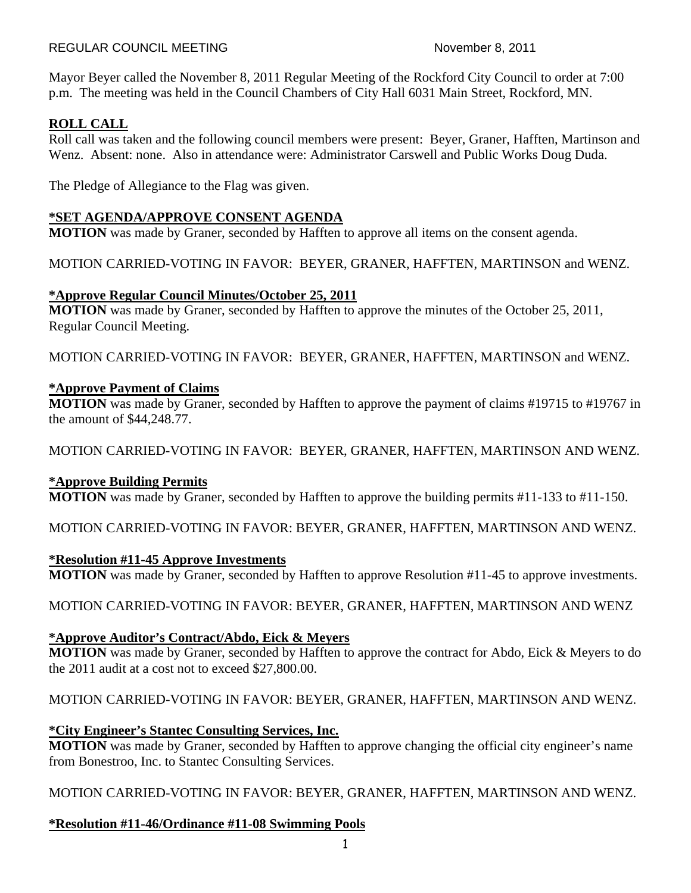#### REGULAR COUNCIL MEETING November 8, 2011

Mayor Beyer called the November 8, 2011 Regular Meeting of the Rockford City Council to order at 7:00 p.m. The meeting was held in the Council Chambers of City Hall 6031 Main Street, Rockford, MN.

## **ROLL CALL**

Roll call was taken and the following council members were present: Beyer, Graner, Hafften, Martinson and Wenz. Absent: none. Also in attendance were: Administrator Carswell and Public Works Doug Duda.

The Pledge of Allegiance to the Flag was given.

## **\*SET AGENDA/APPROVE CONSENT AGENDA**

**MOTION** was made by Graner, seconded by Hafften to approve all items on the consent agenda.

MOTION CARRIED-VOTING IN FAVOR: BEYER, GRANER, HAFFTEN, MARTINSON and WENZ.

### **\*Approve Regular Council Minutes/October 25, 2011**

**MOTION** was made by Graner, seconded by Hafften to approve the minutes of the October 25, 2011, Regular Council Meeting.

MOTION CARRIED-VOTING IN FAVOR: BEYER, GRANER, HAFFTEN, MARTINSON and WENZ.

### **\*Approve Payment of Claims**

**MOTION** was made by Graner, seconded by Hafften to approve the payment of claims #19715 to #19767 in the amount of \$44,248.77.

MOTION CARRIED-VOTING IN FAVOR: BEYER, GRANER, HAFFTEN, MARTINSON AND WENZ.

## **\*Approve Building Permits**

**MOTION** was made by Graner, seconded by Hafften to approve the building permits #11-133 to #11-150.

MOTION CARRIED-VOTING IN FAVOR: BEYER, GRANER, HAFFTEN, MARTINSON AND WENZ.

### **\*Resolution #11-45 Approve Investments**

**MOTION** was made by Graner, seconded by Hafften to approve Resolution #11-45 to approve investments.

MOTION CARRIED-VOTING IN FAVOR: BEYER, GRANER, HAFFTEN, MARTINSON AND WENZ

## **\*Approve Auditor's Contract/Abdo, Eick & Meyers**

**MOTION** was made by Graner, seconded by Hafften to approve the contract for Abdo, Eick & Meyers to do the 2011 audit at a cost not to exceed \$27,800.00.

MOTION CARRIED-VOTING IN FAVOR: BEYER, GRANER, HAFFTEN, MARTINSON AND WENZ.

## **\*City Engineer's Stantec Consulting Services, Inc.**

**MOTION** was made by Graner, seconded by Hafften to approve changing the official city engineer's name from Bonestroo, Inc. to Stantec Consulting Services.

MOTION CARRIED-VOTING IN FAVOR: BEYER, GRANER, HAFFTEN, MARTINSON AND WENZ.

## **\*Resolution #11-46/Ordinance #11-08 Swimming Pools**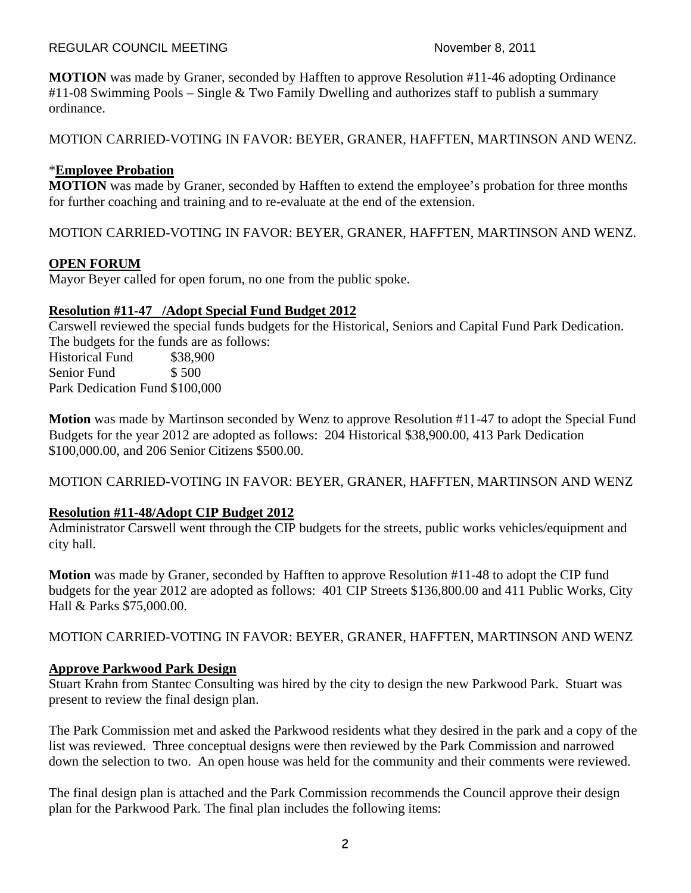#### REGULAR COUNCIL MEETING November 8, 2011

**MOTION** was made by Graner, seconded by Hafften to approve Resolution #11-46 adopting Ordinance #11-08 Swimming Pools – Single & Two Family Dwelling and authorizes staff to publish a summary ordinance.

MOTION CARRIED-VOTING IN FAVOR: BEYER, GRANER, HAFFTEN, MARTINSON AND WENZ.

### \***Employee Probation**

**MOTION** was made by Graner, seconded by Hafften to extend the employee's probation for three months for further coaching and training and to re-evaluate at the end of the extension.

MOTION CARRIED-VOTING IN FAVOR: BEYER, GRANER, HAFFTEN, MARTINSON AND WENZ.

### **OPEN FORUM**

Mayor Beyer called for open forum, no one from the public spoke.

### **Resolution #11-47 /Adopt Special Fund Budget 2012**

Carswell reviewed the special funds budgets for the Historical, Seniors and Capital Fund Park Dedication. The budgets for the funds are as follows:

Historical Fund \$38,900 Senior Fund \$500 Park Dedication Fund \$100,000

**Motion** was made by Martinson seconded by Wenz to approve Resolution #11-47 to adopt the Special Fund Budgets for the year 2012 are adopted as follows: 204 Historical \$38,900.00, 413 Park Dedication \$100,000.00, and 206 Senior Citizens \$500.00.

MOTION CARRIED-VOTING IN FAVOR: BEYER, GRANER, HAFFTEN, MARTINSON AND WENZ

### **Resolution #11-48/Adopt CIP Budget 2012**

Administrator Carswell went through the CIP budgets for the streets, public works vehicles/equipment and city hall.

**Motion** was made by Graner, seconded by Hafften to approve Resolution #11-48 to adopt the CIP fund budgets for the year 2012 are adopted as follows: 401 CIP Streets \$136,800.00 and 411 Public Works, City Hall & Parks \$75,000.00.

MOTION CARRIED-VOTING IN FAVOR: BEYER, GRANER, HAFFTEN, MARTINSON AND WENZ

### **Approve Parkwood Park Design**

Stuart Krahn from Stantec Consulting was hired by the city to design the new Parkwood Park. Stuart was present to review the final design plan.

The Park Commission met and asked the Parkwood residents what they desired in the park and a copy of the list was reviewed. Three conceptual designs were then reviewed by the Park Commission and narrowed down the selection to two. An open house was held for the community and their comments were reviewed.

The final design plan is attached and the Park Commission recommends the Council approve their design plan for the Parkwood Park. The final plan includes the following items: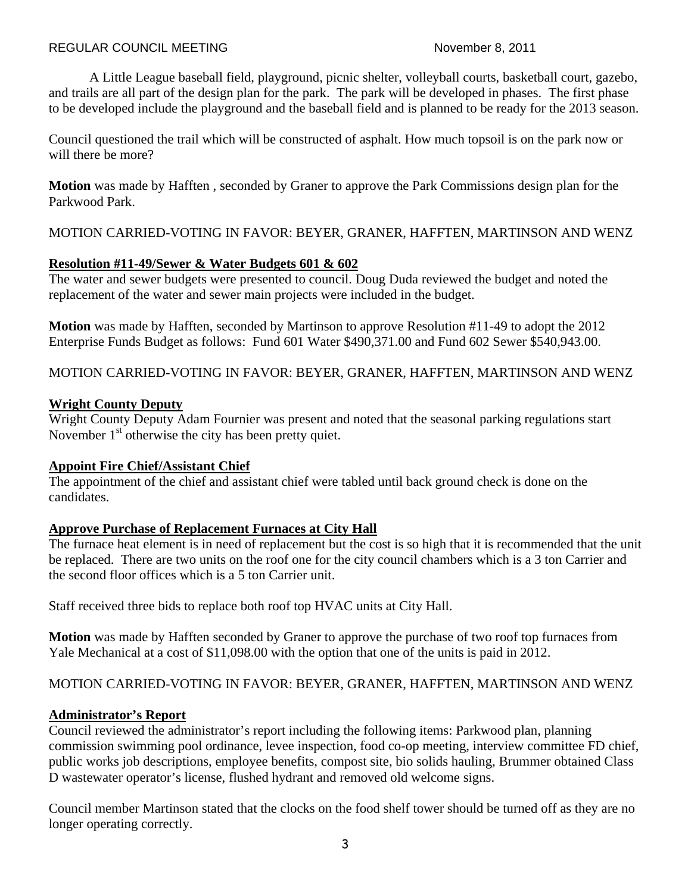A Little League baseball field, playground, picnic shelter, volleyball courts, basketball court, gazebo, and trails are all part of the design plan for the park. The park will be developed in phases. The first phase to be developed include the playground and the baseball field and is planned to be ready for the 2013 season.

Council questioned the trail which will be constructed of asphalt. How much topsoil is on the park now or will there be more?

**Motion** was made by Hafften , seconded by Graner to approve the Park Commissions design plan for the Parkwood Park.

MOTION CARRIED-VOTING IN FAVOR: BEYER, GRANER, HAFFTEN, MARTINSON AND WENZ

## **Resolution #11-49/Sewer & Water Budgets 601 & 602**

The water and sewer budgets were presented to council. Doug Duda reviewed the budget and noted the replacement of the water and sewer main projects were included in the budget.

**Motion** was made by Hafften, seconded by Martinson to approve Resolution #11-49 to adopt the 2012 Enterprise Funds Budget as follows: Fund 601 Water \$490,371.00 and Fund 602 Sewer \$540,943.00.

MOTION CARRIED-VOTING IN FAVOR: BEYER, GRANER, HAFFTEN, MARTINSON AND WENZ

## **Wright County Deputy**

Wright County Deputy Adam Fournier was present and noted that the seasonal parking regulations start November 1<sup>st</sup> otherwise the city has been pretty quiet.

## **Appoint Fire Chief/Assistant Chief**

The appointment of the chief and assistant chief were tabled until back ground check is done on the candidates.

# **Approve Purchase of Replacement Furnaces at City Hall**

The furnace heat element is in need of replacement but the cost is so high that it is recommended that the unit be replaced. There are two units on the roof one for the city council chambers which is a 3 ton Carrier and the second floor offices which is a 5 ton Carrier unit.

Staff received three bids to replace both roof top HVAC units at City Hall.

**Motion** was made by Hafften seconded by Graner to approve the purchase of two roof top furnaces from Yale Mechanical at a cost of \$11,098.00 with the option that one of the units is paid in 2012.

# MOTION CARRIED-VOTING IN FAVOR: BEYER, GRANER, HAFFTEN, MARTINSON AND WENZ

# **Administrator's Report**

Council reviewed the administrator's report including the following items: Parkwood plan, planning commission swimming pool ordinance, levee inspection, food co-op meeting, interview committee FD chief, public works job descriptions, employee benefits, compost site, bio solids hauling, Brummer obtained Class D wastewater operator's license, flushed hydrant and removed old welcome signs.

Council member Martinson stated that the clocks on the food shelf tower should be turned off as they are no longer operating correctly.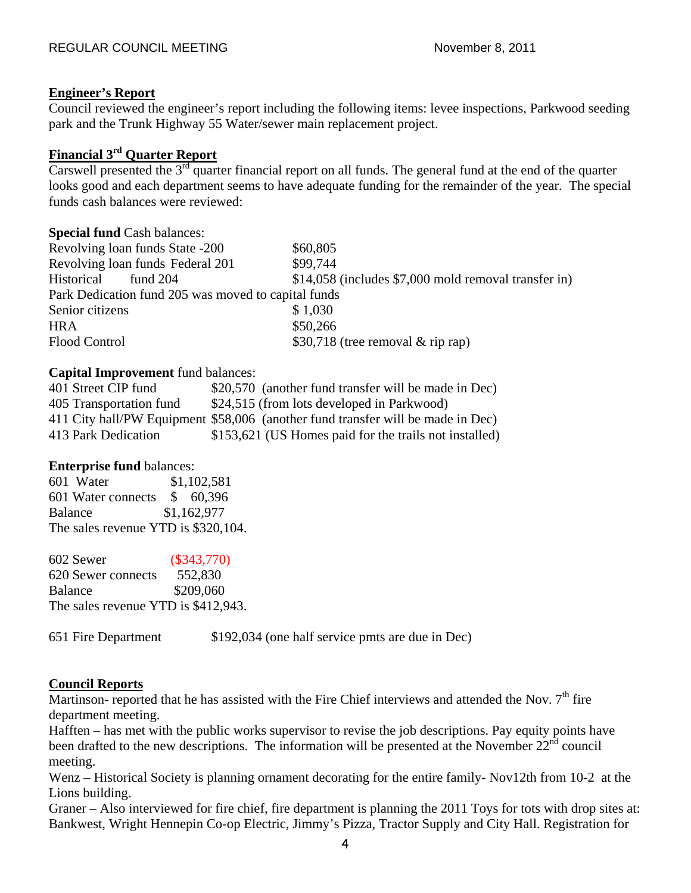### **Engineer's Report**

Council reviewed the engineer's report including the following items: levee inspections, Parkwood seeding park and the Trunk Highway 55 Water/sewer main replacement project.

## **Financial 3rd Quarter Report**

Carswell presented the  $3^{rd}$  quarter financial report on all funds. The general fund at the end of the quarter looks good and each department seems to have adequate funding for the remainder of the year. The special funds cash balances were reviewed:

| <b>Special fund Cash balances:</b>                  |                                                      |
|-----------------------------------------------------|------------------------------------------------------|
| Revolving loan funds State -200                     | \$60,805                                             |
| Revolving loan funds Federal 201                    | \$99,744                                             |
| Historical<br>fund $204$                            | \$14,058 (includes \$7,000 mold removal transfer in) |
| Park Dedication fund 205 was moved to capital funds |                                                      |
| Senior citizens                                     | \$1,030                                              |
| <b>HRA</b>                                          | \$50,266                                             |
| <b>Flood Control</b>                                | \$30,718 (tree removal $\&$ rip rap)                 |

### **Capital Improvement** fund balances:

| 401 Street CIP fund     | \$20,570 (another fund transfer will be made in Dec)                            |
|-------------------------|---------------------------------------------------------------------------------|
| 405 Transportation fund | \$24,515 (from lots developed in Parkwood)                                      |
|                         | 411 City hall/PW Equipment \$58,006 (another fund transfer will be made in Dec) |
| 413 Park Dedication     | \$153,621 (US Homes paid for the trails not installed)                          |

### **Enterprise fund** balances:

601 Water \$1,102,581 601 Water connects \$ 60,396 Balance \$1,162,977 The sales revenue YTD is \$320,104.

602 Sewer (\$343,770) 620 Sewer connects 552,830 Balance \$209,060 The sales revenue YTD is \$412,943.

651 Fire Department \$192,034 (one half service pmts are due in Dec)

## **Council Reports**

Martinson- reported that he has assisted with the Fire Chief interviews and attended the Nov.  $7<sup>th</sup>$  fire department meeting.

Hafften – has met with the public works supervisor to revise the job descriptions. Pay equity points have been drafted to the new descriptions. The information will be presented at the November  $22<sup>nd</sup>$  council meeting.

Wenz – Historical Society is planning ornament decorating for the entire family- Nov12th from 10-2 at the Lions building.

Graner – Also interviewed for fire chief, fire department is planning the 2011 Toys for tots with drop sites at: Bankwest, Wright Hennepin Co-op Electric, Jimmy's Pizza, Tractor Supply and City Hall. Registration for